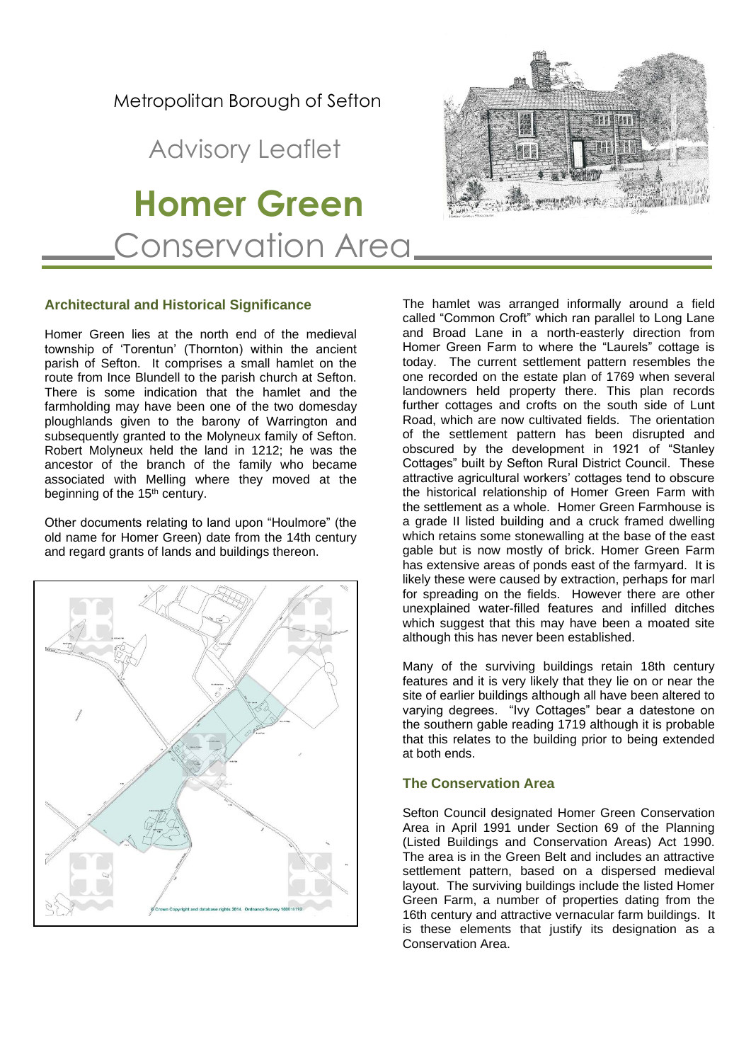## Metropolitan Borough of Sefton

# Advisory Leaflet

 **Homer Green** Conservation Area

## **Architectural and Historical Significance**

Homer Green lies at the north end of the medieval township of 'Torentun' (Thornton) within the ancient parish of Sefton. It comprises a small hamlet on the route from Ince Blundell to the parish church at Sefton. There is some indication that the hamlet and the farmholding may have been one of the two domesday ploughlands given to the barony of Warrington and subsequently granted to the Molyneux family of Sefton. Robert Molyneux held the land in 1212; he was the ancestor of the branch of the family who became associated with Melling where they moved at the beginning of the 15<sup>th</sup> century.

Other documents relating to land upon "Houlmore" (the old name for Homer Green) date from the 14th century and regard grants of lands and buildings thereon.



The hamlet was arranged informally around a field called "Common Croft" which ran parallel to Long Lane and Broad Lane in a north-easterly direction from Homer Green Farm to where the "Laurels" cottage is today. The current settlement pattern resembles the one recorded on the estate plan of 1769 when several landowners held property there. This plan records further cottages and crofts on the south side of Lunt Road, which are now cultivated fields. The orientation of the settlement pattern has been disrupted and obscured by the development in 1921 of "Stanley Cottages" built by Sefton Rural District Council. These attractive agricultural workers' cottages tend to obscure the historical relationship of Homer Green Farm with the settlement as a whole. Homer Green Farmhouse is a grade II listed building and a cruck framed dwelling which retains some stonewalling at the base of the east gable but is now mostly of brick. Homer Green Farm has extensive areas of ponds east of the farmyard. It is likely these were caused by extraction, perhaps for marl for spreading on the fields. However there are other unexplained water-filled features and infilled ditches which suggest that this may have been a moated site although this has never been established.

Many of the surviving buildings retain 18th century features and it is very likely that they lie on or near the site of earlier buildings although all have been altered to varying degrees. "Ivy Cottages" bear a datestone on the southern gable reading 1719 although it is probable that this relates to the building prior to being extended at both ends.

## **The Conservation Area**

Sefton Council designated Homer Green Conservation Area in April 1991 under Section 69 of the Planning (Listed Buildings and Conservation Areas) Act 1990. The area is in the Green Belt and includes an attractive settlement pattern, based on a dispersed medieval layout. The surviving buildings include the listed Homer Green Farm, a number of properties dating from the 16th century and attractive vernacular farm buildings. It is these elements that justify its designation as a Conservation Area.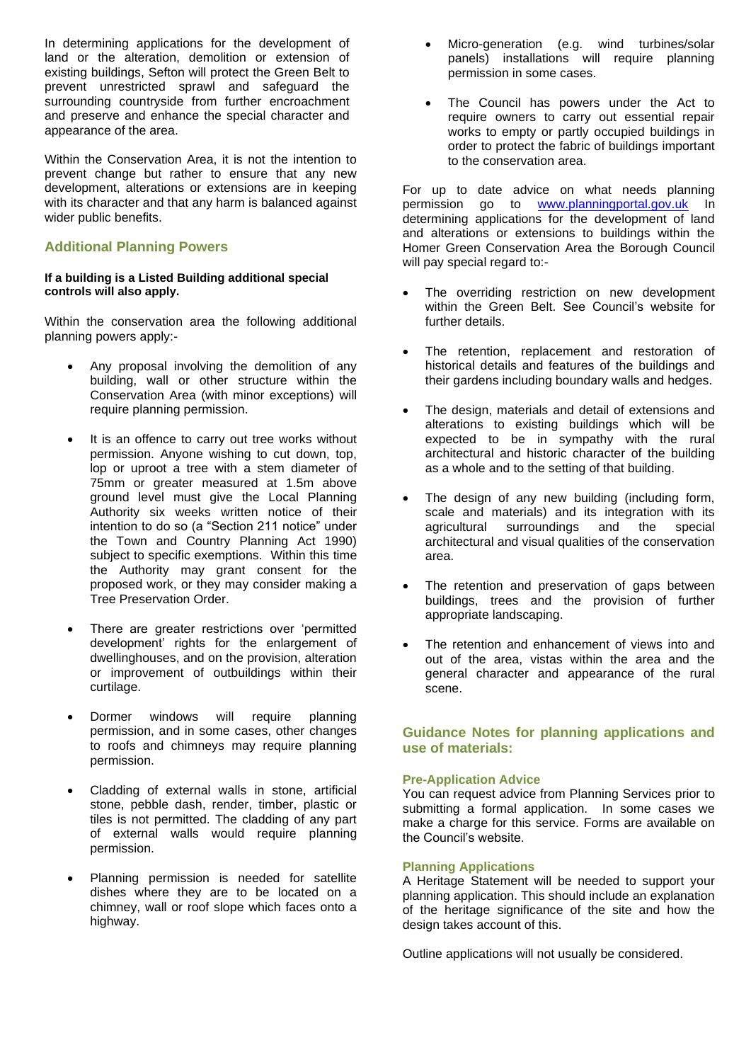In determining applications for the development of land or the alteration, demolition or extension of existing buildings, Sefton will protect the Green Belt to prevent unrestricted sprawl and safeguard the surrounding countryside from further encroachment and preserve and enhance the special character and appearance of the area.

Within the Conservation Area, it is not the intention to prevent change but rather to ensure that any new development, alterations or extensions are in keeping with its character and that any harm is balanced against wider public benefits.

## **Additional Planning Powers**

## **If a building is a Listed Building additional special controls will also apply.**

Within the conservation area the following additional planning powers apply:-

- Any proposal involving the demolition of any building, wall or other structure within the Conservation Area (with minor exceptions) will require planning permission.
- It is an offence to carry out tree works without permission. Anyone wishing to cut down, top, lop or uproot a tree with a stem diameter of 75mm or greater measured at 1.5m above ground level must give the Local Planning Authority six weeks written notice of their intention to do so (a "Section 211 notice" under the Town and Country Planning Act 1990) subject to specific exemptions. Within this time the Authority may grant consent for the proposed work, or they may consider making a Tree Preservation Order.
- There are greater restrictions over 'permitted development' rights for the enlargement of dwellinghouses, and on the provision, alteration or improvement of outbuildings within their curtilage.
- Dormer windows will require planning permission, and in some cases, other changes to roofs and chimneys may require planning permission.
- Cladding of external walls in stone, artificial stone, pebble dash, render, timber, plastic or tiles is not permitted. The cladding of any part of external walls would require planning permission.
- Planning permission is needed for satellite dishes where they are to be located on a chimney, wall or roof slope which faces onto a highway.
- Micro-generation (e.g. wind turbines/solar panels) installations will require planning permission in some cases.
- The Council has powers under the Act to require owners to carry out essential repair works to empty or partly occupied buildings in order to protect the fabric of buildings important to the conservation area.

For up to date advice on what needs planning permission go to **[www.planningportal.gov.uk](http://www.planningportal.gov.uk/)** In determining applications for the development of land and alterations or extensions to buildings within the Homer Green Conservation Area the Borough Council will pay special regard to:-

- The overriding restriction on new development within the Green Belt. See Council's website for further details.
- The retention, replacement and restoration of historical details and features of the buildings and their gardens including boundary walls and hedges.
- The design, materials and detail of extensions and alterations to existing buildings which will be expected to be in sympathy with the rural architectural and historic character of the building as a whole and to the setting of that building.
- The design of any new building (including form, scale and materials) and its integration with its agricultural surroundings and the special architectural and visual qualities of the conservation area.
- The retention and preservation of gaps between buildings, trees and the provision of further appropriate landscaping.
- The retention and enhancement of views into and out of the area, vistas within the area and the general character and appearance of the rural scene.

## **Guidance Notes for planning applications and use of materials:**

## **Pre-Application Advice**

You can request advice from Planning Services prior to submitting a formal application. In some cases we make a charge for this service. Forms are available on the Council's website.

## **Planning Applications**

A Heritage Statement will be needed to support your planning application. This should include an explanation of the heritage significance of the site and how the design takes account of this.

Outline applications will not usually be considered.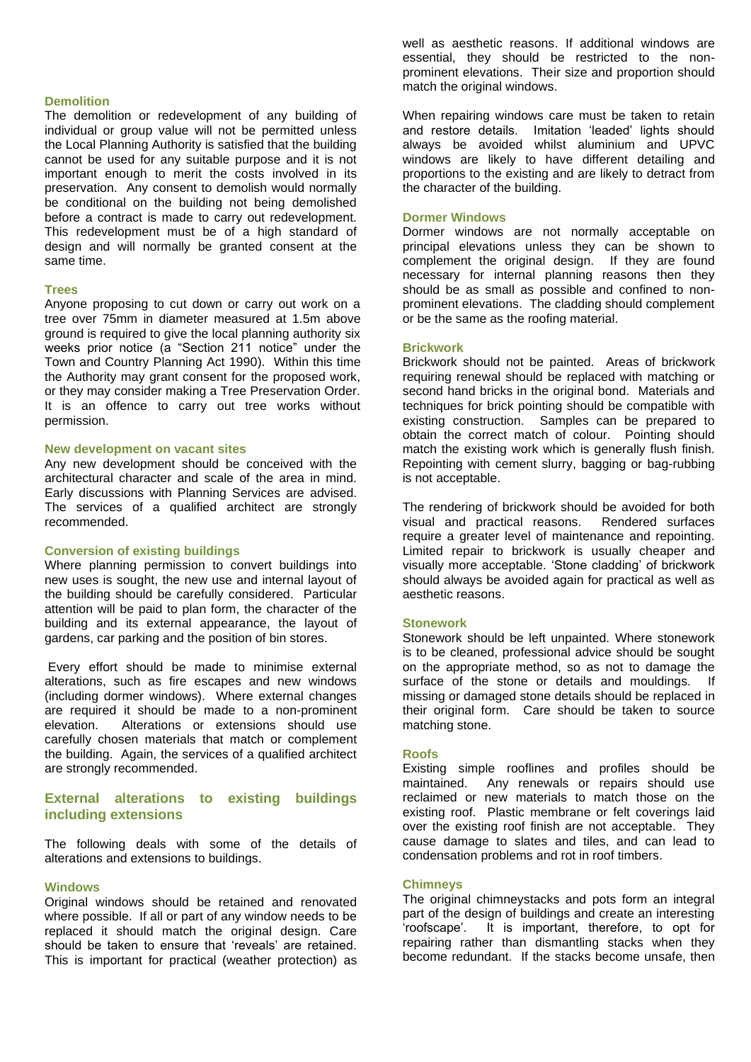#### **Demolition**

The demolition or redevelopment of any building of individual or group value will not be permitted unless the Local Planning Authority is satisfied that the building cannot be used for any suitable purpose and it is not important enough to merit the costs involved in its preservation. Any consent to demolish would normally be conditional on the building not being demolished before a contract is made to carry out redevelopment. This redevelopment must be of a high standard of design and will normally be granted consent at the same time.

#### **Trees**

Anyone proposing to cut down or carry out work on a tree over 75mm in diameter measured at 1.5m above ground is required to give the local planning authority six weeks prior notice (a "Section 211 notice" under the Town and Country Planning Act 1990). Within this time the Authority may grant consent for the proposed work, or they may consider making a Tree Preservation Order. It is an offence to carry out tree works without permission.

#### **New development on vacant sites**

Any new development should be conceived with the architectural character and scale of the area in mind. Early discussions with Planning Services are advised. The services of a qualified architect are strongly recommended.

#### **Conversion of existing buildings**

Where planning permission to convert buildings into new uses is sought, the new use and internal layout of the building should be carefully considered. Particular attention will be paid to plan form, the character of the building and its external appearance, the layout of gardens, car parking and the position of bin stores.

Every effort should be made to minimise external alterations, such as fire escapes and new windows (including dormer windows). Where external changes are required it should be made to a non-prominent elevation. Alterations or extensions should use carefully chosen materials that match or complement the building. Again, the services of a qualified architect are strongly recommended.

## **External alterations to existing buildings including extensions**

The following deals with some of the details of alterations and extensions to buildings.

#### **Windows**

Original windows should be retained and renovated where possible. If all or part of any window needs to be replaced it should match the original design. Care should be taken to ensure that 'reveals' are retained. This is important for practical (weather protection) as

well as aesthetic reasons. If additional windows are essential, they should be restricted to the nonprominent elevations. Their size and proportion should match the original windows.

When repairing windows care must be taken to retain and restore details. Imitation 'leaded' lights should always be avoided whilst aluminium and UPVC windows are likely to have different detailing and proportions to the existing and are likely to detract from the character of the building.

#### **Dormer Windows**

Dormer windows are not normally acceptable on principal elevations unless they can be shown to complement the original design. If they are found necessary for internal planning reasons then they should be as small as possible and confined to nonprominent elevations. The cladding should complement or be the same as the roofing material.

#### **Brickwork**

Brickwork should not be painted. Areas of brickwork requiring renewal should be replaced with matching or second hand bricks in the original bond. Materials and techniques for brick pointing should be compatible with existing construction. Samples can be prepared to obtain the correct match of colour. Pointing should match the existing work which is generally flush finish. Repointing with cement slurry, bagging or bag-rubbing is not acceptable.

The rendering of brickwork should be avoided for both visual and practical reasons. Rendered surfaces require a greater level of maintenance and repointing. Limited repair to brickwork is usually cheaper and visually more acceptable. 'Stone cladding' of brickwork should always be avoided again for practical as well as aesthetic reasons.

#### **Stonework**

Stonework should be left unpainted. Where stonework is to be cleaned, professional advice should be sought on the appropriate method, so as not to damage the surface of the stone or details and mouldings. If missing or damaged stone details should be replaced in their original form. Care should be taken to source matching stone.

## **Roofs**

Existing simple rooflines and profiles should be maintained. Any renewals or repairs should use reclaimed or new materials to match those on the existing roof. Plastic membrane or felt coverings laid over the existing roof finish are not acceptable. They cause damage to slates and tiles, and can lead to condensation problems and rot in roof timbers.

#### **Chimneys**

The original chimneystacks and pots form an integral part of the design of buildings and create an interesting 'roofscape'. It is important, therefore, to opt for repairing rather than dismantling stacks when they become redundant. If the stacks become unsafe, then